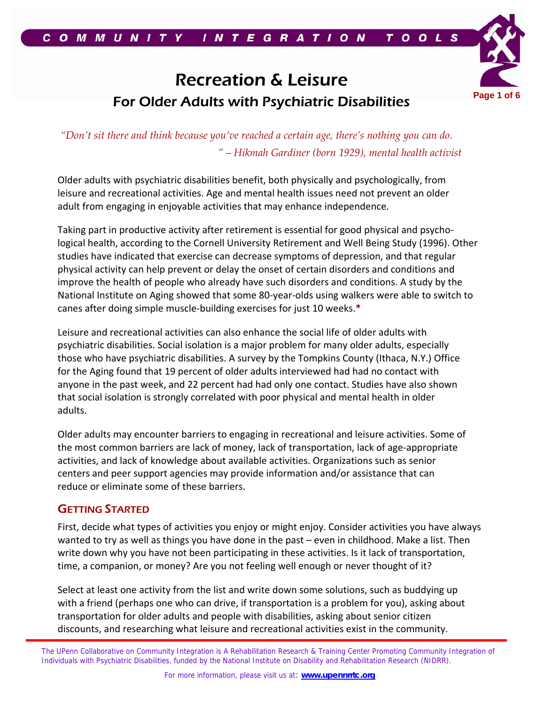# Recreation & Leisure For Older Adults with Psychiatric Disabilities<sup>Page 1 of</sup>



*"Don't sit there and think because you've reached a certain age, there's nothing you can do. " – Hikmah Gardiner (born 1929), mental health activist* 

Older adults with psychiatric disabilities benefit, both physically and psychologically, from leisure and recreational activities. Age and mental health issues need not prevent an older adult from engaging in enjoyable activities that may enhance independence.

Taking part in productive activity after retirement is essential for good physical and psycho‐ logical health, according to the Cornell University Retirement and Well Being Study (1996). Other studies have indicated that exercise can decrease symptoms of depression, and that regular physical activity can help prevent or delay the onset of certain disorders and conditions and improve the health of people who already have such disorders and conditions. A study by the National Institute on Aging showed that some 80‐year‐olds using walkers were able to switch to canes after doing simple muscle‐building exercises for just 10 weeks.**\***

Leisure and recreational activities can also enhance the social life of older adults with psychiatric disabilities. Social isolation is a major problem for many older adults, especially those who have psychiatric disabilities. A survey by the Tompkins County (Ithaca, N.Y.) Office for the Aging found that 19 percent of older adults interviewed had had no contact with anyone in the past week, and 22 percent had had only one contact. Studies have also shown that social isolation is strongly correlated with poor physical and mental health in older adults.

Older adults may encounter barriers to engaging in recreational and leisure activities. Some of the most common barriers are lack of money, lack of transportation, lack of age‐appropriate activities, and lack of knowledge about available activities. Organizations such as senior centers and peer support agencies may provide information and/or assistance that can reduce or eliminate some of these barriers.

## GETTING STARTED

First, decide what types of activities you enjoy or might enjoy. Consider activities you have always wanted to try as well as things you have done in the past – even in childhood. Make a list. Then write down why you have not been participating in these activities. Is it lack of transportation, time, a companion, or money? Are you not feeling well enough or never thought of it?

Select at least one activity from the list and write down some solutions, such as buddying up with a friend (perhaps one who can drive, if transportation is a problem for you), asking about transportation for older adults and people with disabilities, asking about senior citizen discounts, and researching what leisure and recreational activities exist in the community.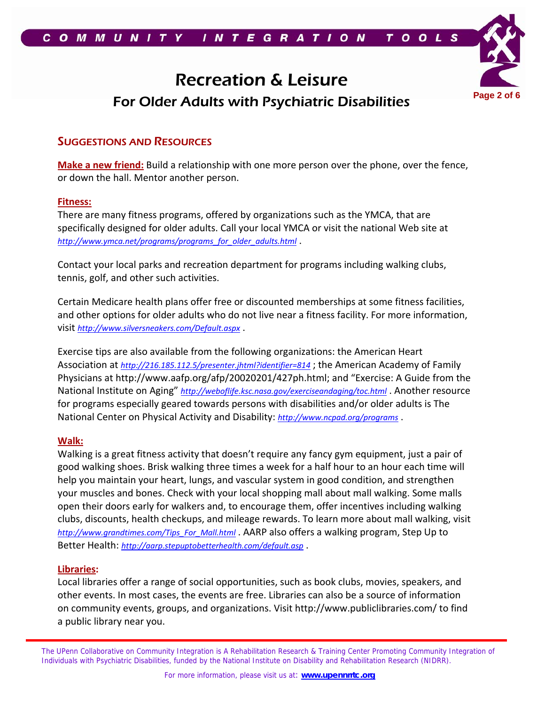

# Recreation & Leisure For Older Adults with Psychiatric Disabilities **Page 2 of 6**



# SUGGESTIONS AND RESOURCES

**Make a new friend:** Build a relationship with one more person over the phone, over the fence, or down the hall. Mentor another person.

### **Fitness:**

There are many fitness programs, offered by organizations such as the YMCA, that are specifically designed for older adults. Call your local YMCA or visit the national Web site at *http://www.ymca.net/programs/programs\_for\_older\_adults.html* .

Contact your local parks and recreation department for programs including walking clubs, tennis, golf, and other such activities.

Certain Medicare health plans offer free or discounted memberships at some fitness facilities, and other options for older adults who do not live near a fitness facility. For more information, visit *http://www.silversneakers.com/Default.aspx* .

Exercise tips are also available from the following organizations: the American Heart Association at *http://216.185.112.5/presenter.jhtml?identifier=814* ; the American Academy of Family Physicians at http://www.aafp.org/afp/20020201/427ph.html; and "Exercise: A Guide from the National Institute on Aging" *http://weboflife.ksc.nasa.gov/exerciseandaging/toc.html* . Another resource for programs especially geared towards persons with disabilities and/or older adults is The National Center on Physical Activity and Disability: *http://www.ncpad.org/programs* .

#### **Walk:**

Walking is a great fitness activity that doesn't require any fancy gym equipment, just a pair of good walking shoes. Brisk walking three times a week for a half hour to an hour each time will help you maintain your heart, lungs, and vascular system in good condition, and strengthen your muscles and bones. Check with your local shopping mall about mall walking. Some malls open their doors early for walkers and, to encourage them, offer incentives including walking clubs, discounts, health checkups, and mileage rewards. To learn more about mall walking, visit *http://www.grandtimes.com/Tips\_For\_Mall.html* . AARP also offers a walking program, Step Up to Better Health: *http://aarp.stepuptobetterhealth.com/default.asp* .

#### **Libraries:**

L

Local libraries offer a range of social opportunities, such as book clubs, movies, speakers, and other events. In most cases, the events are free. Libraries can also be a source of information on community events, groups, and organizations. Visit http://www.publiclibraries.com/ to find a public library near you.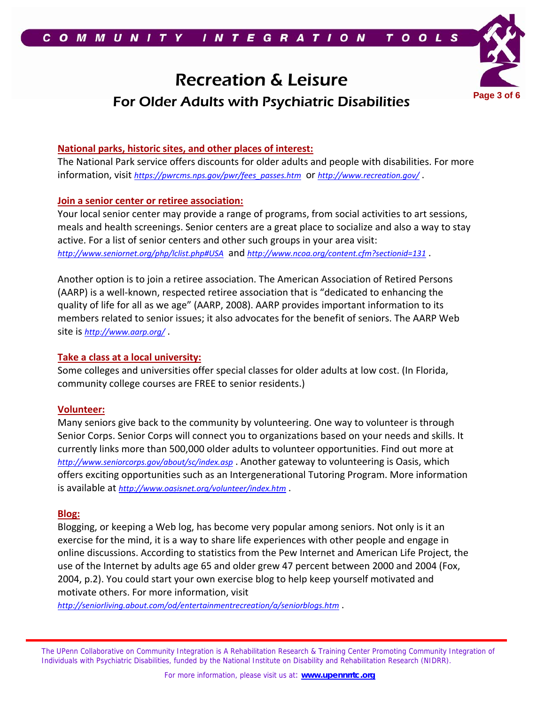# Recreation & Leisure For Older Adults with Psychiatric Disabilities **Page 3 of 6**



### **National parks, historic sites, and other places of interest:**

The National Park service offers discounts for older adults and people with disabilities. For more information, visit *https://pwrcms.nps.gov/pwr/fees\_passes.htm* or *http://www.recreation.gov/* .

### **Join a senior center or retiree association:**

Your local senior center may provide a range of programs, from social activities to art sessions, meals and health screenings. Senior centers are a great place to socialize and also a way to stay active. For a list of senior centers and other such groups in your area visit: *http://www.seniornet.org/php/lclist.php#USA* and *http://www.ncoa.org/content.cfm?sectionid=131* .

Another option is to join a retiree association. The American Association of Retired Persons (AARP) is a well‐known, respected retiree association that is "dedicated to enhancing the quality of life for all as we age" (AARP, 2008). AARP provides important information to its members related to senior issues; it also advocates for the benefit of seniors. The AARP Web site is *http://www.aarp.org/* .

#### **Take a class at a local university:**

Some colleges and universities offer special classes for older adults at low cost. (In Florida, community college courses are FREE to senior residents.)

### **Volunteer:**

Many seniors give back to the community by volunteering. One way to volunteer is through Senior Corps. Senior Corps will connect you to organizations based on your needs and skills. It currently links more than 500,000 older adults to volunteer opportunities. Find out more at *http://www.seniorcorps.gov/about/sc/index.asp* . Another gateway to volunteering is Oasis, which offers exciting opportunities such as an Intergenerational Tutoring Program. More information is available at *http://www.oasisnet.org/volunteer/index.htm* .

#### **Blog:**

Blogging, or keeping a Web log, has become very popular among seniors. Not only is it an exercise for the mind, it is a way to share life experiences with other people and engage in online discussions. According to statistics from the Pew Internet and American Life Project, the use of the Internet by adults age 65 and older grew 47 percent between 2000 and 2004 (Fox, 2004, p.2). You could start your own exercise blog to help keep yourself motivated and motivate others. For more information, visit

*http://seniorliving.about.com/od/entertainmentrecreation/a/seniorblogs.htm* .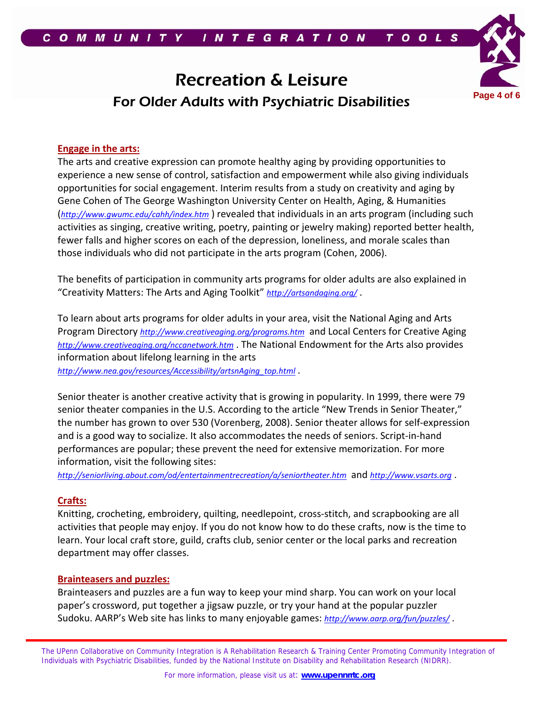# Recreation & Leisure For Older Adults with Psychiatric Disabilities **Page 4 of 6**



# **Engage in the arts:**

The arts and creative expression can promote healthy aging by providing opportunities to experience a new sense of control, satisfaction and empowerment while also giving individuals opportunities for social engagement. Interim results from a study on creativity and aging by Gene Cohen of The George Washington University Center on Health, Aging, & Humanities (*http://www.gwumc.edu/cahh/index.htm* ) revealed that individuals in an arts program (including such activities as singing, creative writing, poetry, painting or jewelry making) reported better health, fewer falls and higher scores on each of the depression, loneliness, and morale scales than those individuals who did not participate in the arts program (Cohen, 2006).

The benefits of participation in community arts programs for older adults are also explained in "Creativity Matters: The Arts and Aging Toolkit" *http://artsandaging.org/* .

To learn about arts programs for older adults in your area, visit the National Aging and Arts Program Directory *http://www.creativeaging.org/programs.htm* and Local Centers for Creative Aging *http://www.creativeaging.org/nccanetwork.htm* . The National Endowment for the Arts also provides information about lifelong learning in the arts

*http://www.nea.gov/resources/Accessibility/artsnAging\_top.html* .

Senior theater is another creative activity that is growing in popularity. In 1999, there were 79 senior theater companies in the U.S. According to the article "New Trends in Senior Theater," the number has grown to over 530 (Vorenberg, 2008). Senior theater allows for self‐expression and is a good way to socialize. It also accommodates the needs of seniors. Script‐in‐hand performances are popular; these prevent the need for extensive memorization. For more information, visit the following sites:

*http://seniorliving.about.com/od/entertainmentrecreation/a/seniortheater.htm* and *http://www.vsarts.org* .

## **Crafts:**

Knitting, crocheting, embroidery, quilting, needlepoint, cross‐stitch, and scrapbooking are all activities that people may enjoy. If you do not know how to do these crafts, now is the time to learn. Your local craft store, guild, crafts club, senior center or the local parks and recreation department may offer classes.

### **Brainteasers and puzzles:**

Brainteasers and puzzles are a fun way to keep your mind sharp. You can work on your local paper's crossword, put together a jigsaw puzzle, or try your hand at the popular puzzler Sudoku. AARP's Web site has links to many enjoyable games: *http://www.aarp.org/fun/puzzles/* .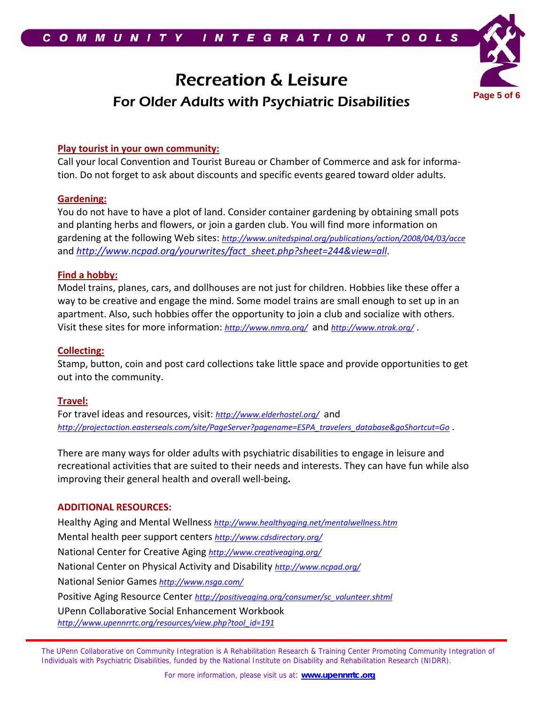# Recreation & Leisure For Older Adults with Psychiatric Disabilities **Page 5 of 6**



### **Play tourist in your own community:**

Call your local Convention and Tourist Bureau or Chamber of Commerce and ask for informa‐ tion. Do not forget to ask about discounts and specific events geared toward older adults.

### **Gardening:**

You do not have to have a plot of land. Consider container gardening by obtaining small pots and planting herbs and flowers, or join a garden club. You will find more information on gardening at the following Web sites: *http://www.unitedspinal.org/publications/action/2008/04/03/acce* and *http://www.ncpad.org/yourwrites/fact\_sheet.php?sheet=244&view=all*.

### **Find a hobby:**

Model trains, planes, cars, and dollhouses are not just for children. Hobbies like these offer a way to be creative and engage the mind. Some model trains are small enough to set up in an apartment. Also, such hobbies offer the opportunity to join a club and socialize with others. Visit these sites for more information: *http://www.nmra.org/* and *http://www.ntrak.org/* .

### **Collecting:**

Stamp, button, coin and post card collections take little space and provide opportunities to get out into the community.

### **Travel:**

For travel ideas and resources, visit: *http://www.elderhostel.org/* and *http://projectaction.easterseals.com/site/PageServer?pagename=ESPA\_travelers\_database&goShortcut=Go* .

There are many ways for older adults with psychiatric disabilities to engage in leisure and recreational activities that are suited to their needs and interests. They can have fun while also improving their general health and overall well‐being**.**

### **ADDITIONAL RESOURCES:**

Healthy Aging and Mental Wellness *http://www.healthyaging.net/mentalwellness.htm* Mental health peer support centers *http://www.cdsdirectory.org/* National Center for Creative Aging *http://www.creativeaging.org/* National Center on Physical Activity and Disability *http://www.ncpad.org/* National Senior Games *http://www.nsga.com/* Positive Aging Resource Center *http://positiveaging.org/consumer/sc\_volunteer.shtml* UPenn Collaborative Social Enhancement Workbook *http://www.upennrrtc.org/resources/view.php?tool\_id=191*